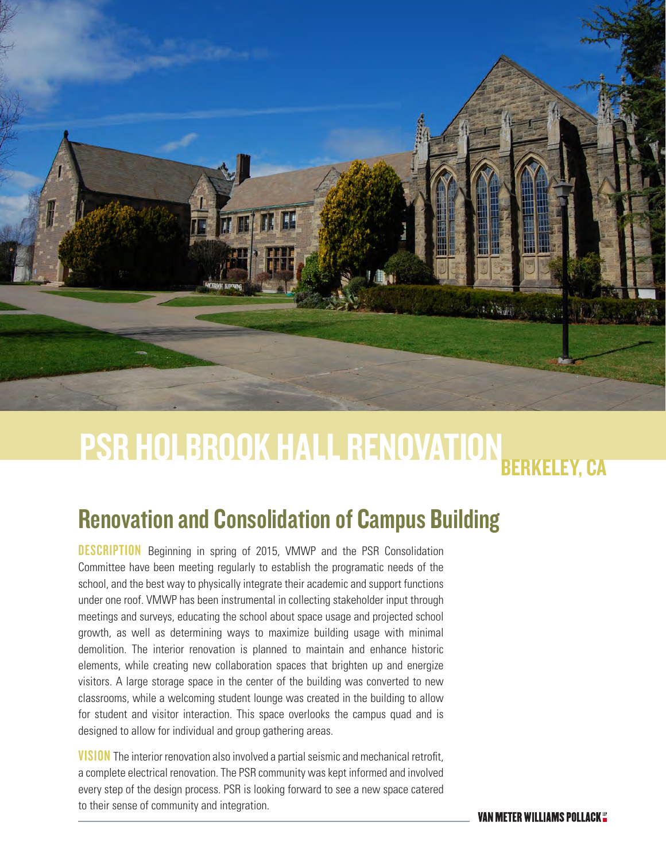

## BERKELEY, CA PSR HOLBROOK HALL RENOVATION

## Renovation and Consolidation of Campus Building

**DESCRIPTION** Beginning in spring of 2015, VMWP and the PSR Consolidation Committee have been meeting regularly to establish the programatic needs of the school, and the best way to physically integrate their academic and support functions under one roof. VMWP has been instrumental in collecting stakeholder input through meetings and surveys, educating the school about space usage and projected school growth, as well as determining ways to maximize building usage with minimal demolition. The interior renovation is planned to maintain and enhance historic elements, while creating new collaboration spaces that brighten up and energize visitors. A large storage space in the center of the building was converted to new classrooms, while a welcoming student lounge was created in the building to allow for student and visitor interaction. This space overlooks the campus quad and is designed to allow for individual and group gathering areas.

**VISION** The interior renovation also involved a partial seismic and mechanical retrofit, a complete electrical renovation. The PSR community was kept informed and involved every step of the design process. PSR is looking forward to see a new space catered to their sense of community and integration.